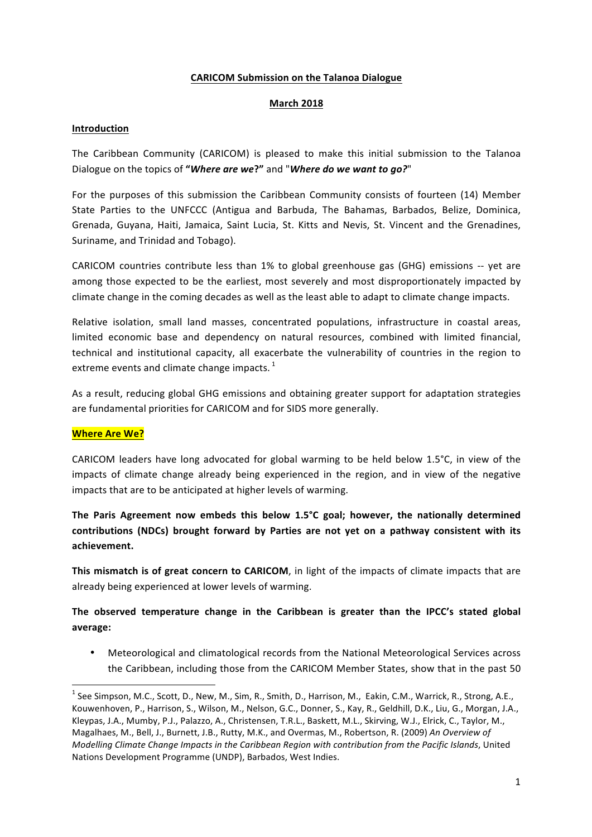#### **CARICOM Submission on the Talanoa Dialogue**

#### **March 2018**

### **Introduction**

The Caribbean Community (CARICOM) is pleased to make this initial submission to the Talanoa Dialogue on the topics of "*Where are we?*" and "*Where do we want to go?*"

For the purposes of this submission the Caribbean Community consists of fourteen (14) Member State Parties to the UNFCCC (Antigua and Barbuda, The Bahamas, Barbados, Belize, Dominica, Grenada, Guyana, Haiti, Jamaica, Saint Lucia, St. Kitts and Nevis, St. Vincent and the Grenadines, Suriname, and Trinidad and Tobago).

CARICOM countries contribute less than 1% to global greenhouse gas (GHG) emissions -- yet are among those expected to be the earliest, most severely and most disproportionately impacted by climate change in the coming decades as well as the least able to adapt to climate change impacts.

Relative isolation, small land masses, concentrated populations, infrastructure in coastal areas, limited economic base and dependency on natural resources, combined with limited financial, technical and institutional capacity, all exacerbate the vulnerability of countries in the region to extreme events and climate change impacts.  $^{1}$ 

As a result, reducing global GHG emissions and obtaining greater support for adaptation strategies are fundamental priorities for CARICOM and for SIDS more generally.

## **Where Are We?**

<u> 1989 - Jan Samuel Barbara, margaret e</u>

CARICOM leaders have long advocated for global warming to be held below  $1.5^{\circ}$ C, in view of the impacts of climate change already being experienced in the region, and in view of the negative impacts that are to be anticipated at higher levels of warming.

The Paris Agreement now embeds this below 1.5°C goal; however, the nationally determined contributions (NDCs) brought forward by Parties are not yet on a pathway consistent with its **achievement.** 

**This mismatch is of great concern to CARICOM**, in light of the impacts of climate impacts that are already being experienced at lower levels of warming.

# The observed temperature change in the Caribbean is greater than the IPCC's stated global **average:**

• Meteorological and climatological records from the National Meteorological Services across the Caribbean, including those from the CARICOM Member States, show that in the past 50

 $1$  See Simpson, M.C., Scott, D., New, M., Sim, R., Smith, D., Harrison, M., Eakin, C.M., Warrick, R., Strong, A.E., Kouwenhoven, P., Harrison, S., Wilson, M., Nelson, G.C., Donner, S., Kay, R., Geldhill, D.K., Liu, G., Morgan, J.A., Kleypas, J.A., Mumby, P.J., Palazzo, A., Christensen, T.R.L., Baskett, M.L., Skirving, W.J., Elrick, C., Taylor, M., Magalhaes, M., Bell, J., Burnett, J.B., Rutty, M.K., and Overmas, M., Robertson, R. (2009) An Overview of *Modelling Climate Change Impacts in the Caribbean Region with contribution from the Pacific Islands*, United Nations Development Programme (UNDP), Barbados, West Indies.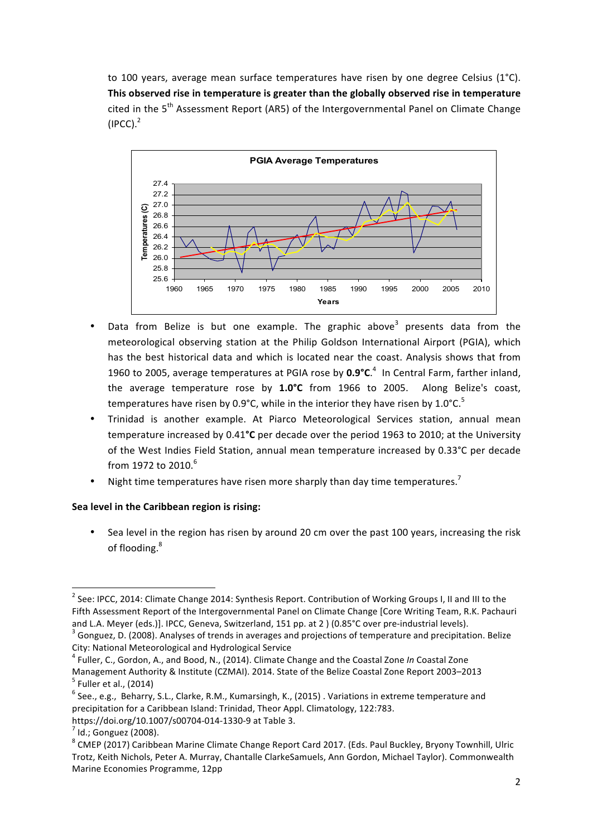to 100 years, average mean surface temperatures have risen by one degree Celsius  $(1^{\circ}C)$ . This observed rise in temperature is greater than the globally observed rise in temperature cited in the  $5<sup>th</sup>$  Assessment Report (AR5) of the Intergovernmental Panel on Climate Change  $(IPCC).$ <sup>2</sup>



- Data from Belize is but one example. The graphic above<sup>3</sup> presents data from the meteorological observing station at the Philip Goldson International Airport (PGIA), which has the best historical data and which is located near the coast. Analysis shows that from 1960 to 2005, average temperatures at PGIA rose by  $0.9^{\circ}$ C.<sup>4</sup> In Central Farm, farther inland, the average temperature rose by 1.0°C from 1966 to 2005. Along Belize's coast, temperatures have risen by 0.9°C, while in the interior they have risen by 1.0°C.<sup>5</sup>
- Trinidad is another example. At Piarco Meteorological Services station, annual mean temperature increased by 0.41<sup>o</sup>C per decade over the period 1963 to 2010; at the University of the West Indies Field Station, annual mean temperature increased by 0.33°C per decade from 1972 to 2010. $^{6}$
- Night time temperatures have risen more sharply than day time temperatures.<sup>7</sup>

#### **Sea level in the Caribbean region is rising:**

<u> 1989 - Jan Samuel Barbara, margaret e</u>

Sea level in the region has risen by around 20 cm over the past 100 years, increasing the risk of flooding.<sup>8</sup>

 $2$  See: IPCC, 2014: Climate Change 2014: Synthesis Report. Contribution of Working Groups I, II and III to the Fifth Assessment Report of the Intergovernmental Panel on Climate Change [Core Writing Team, R.K. Pachauri) and L.A. Meyer (eds.)]. IPCC, Geneva, Switzerland, 151 pp. at 2 ) (0.85°C over pre-industrial levels).  $3$  Gonguez, D. (2008). Analyses of trends in averages and projections of temperature and precipitation. Belize

City: National Meteorological and Hydrological Service<br><sup>4</sup> Fuller, C., Gordon, A., and Bood, N., (2014). Climate Change and the Coastal Zone *In* Coastal Zone

Management Authority & Institute (CZMAI). 2014. State of the Belize Coastal Zone Report 2003–2013 <sup>5</sup> Fuller et al., (2014)

 $6$  See., e.g., Beharry, S.L., Clarke, R.M., Kumarsingh, K., (2015) . Variations in extreme temperature and precipitation for a Caribbean Island: Trinidad, Theor Appl. Climatology, 122:783.

https://doi.org/10.1007/s00704-014-1330-9 at Table 3.<br><sup>7</sup> Id.; Gonguez (2008).<br><sup>8</sup> CMEP (2017) Caribbean Marine Climate Change Report Card 2017. (Eds. Paul Buckley, Bryony Townhill, Ulric Trotz, Keith Nichols, Peter A. Murray, Chantalle ClarkeSamuels, Ann Gordon, Michael Taylor). Commonwealth Marine Economies Programme, 12pp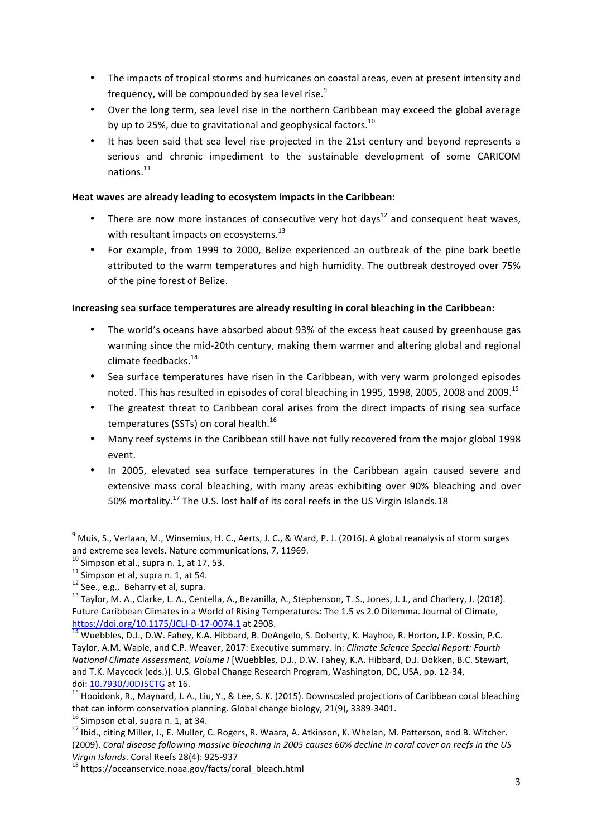- The impacts of tropical storms and hurricanes on coastal areas, even at present intensity and frequency, will be compounded by sea level rise.<sup>9</sup>
- Over the long term, sea level rise in the northern Caribbean may exceed the global average by up to 25%, due to gravitational and geophysical factors.  $^{10}$
- It has been said that sea level rise projected in the 21st century and beyond represents a serious and chronic impediment to the sustainable development of some CARICOM nations<sup>11</sup>

#### Heat waves are already leading to ecosystem impacts in the Caribbean:

- There are now more instances of consecutive very hot days<sup>12</sup> and consequent heat waves. with resultant impacts on ecosystems. $^{13}$
- For example, from 1999 to 2000, Belize experienced an outbreak of the pine bark beetle attributed to the warm temperatures and high humidity. The outbreak destroyed over 75% of the pine forest of Belize.

## **Increasing sea surface temperatures are already resulting in coral bleaching in the Caribbean:**

- The world's oceans have absorbed about 93% of the excess heat caused by greenhouse gas warming since the mid-20th century, making them warmer and altering global and regional climate feedbacks.<sup>14</sup>
- Sea surface temperatures have risen in the Caribbean, with very warm prolonged episodes noted. This has resulted in episodes of coral bleaching in 1995, 1998, 2005, 2008 and 2009. $^{15}$
- The greatest threat to Caribbean coral arises from the direct impacts of rising sea surface temperatures (SSTs) on coral health.<sup>16</sup>
- Many reef systems in the Caribbean still have not fully recovered from the major global 1998 event.
- In 2005, elevated sea surface temperatures in the Caribbean again caused severe and extensive mass coral bleaching, with many areas exhibiting over 90% bleaching and over 50% mortality.<sup>17</sup> The U.S. lost half of its coral reefs in the US Virgin Islands.18

 

 $9$  Muis, S., Verlaan, M., Winsemius, H. C., Aerts, J. C., & Ward, P. J. (2016). A global reanalysis of storm surges and extreme sea levels. Nature communications, 7, 11969.<br> $^{10}$  Simpson et al., supra n. 1, at 17, 53.

<sup>&</sup>lt;sup>11</sup> Simpson et al, supra n. 1, at 54.<br><sup>12</sup> See., e.g., Beharry et al, supra.<br><sup>13</sup> Taylor, M. A., Clarke, L. A., Centella, A., Bezanilla, A., Stephenson, T. S., Jones, J. J., and Charlery, J. (2018). Future Caribbean Climates in a World of Rising Temperatures: The 1.5 vs 2.0 Dilemma. Journal of Climate, https://doi.org/10.1175/JCLI-D-17-0074.1 at 2908.<br><sup>14</sup> Wuebbles, D.J., D.W. Fahey, K.A. Hibbard, B. DeAngelo, S. Doherty, K. Hayhoe, R. Horton, J.P. Kossin, P.C.

Taylor, A.M. Waple, and C.P. Weaver, 2017: Executive summary. In: *Climate Science Special Report: Fourth National Climate Assessment, Volume I* [Wuebbles, D.J., D.W. Fahey, K.A. Hibbard, D.J. Dokken, B.C. Stewart, and T.K. Maycock (eds.)]. U.S. Global Change Research Program, Washington, DC, USA, pp. 12-34, doi: 10.7930/J0DJ5CTG at 16.<br><sup>15</sup> Hooidonk, R., Maynard, J. A., Liu, Y., & Lee, S. K. (2015). Downscaled projections of Caribbean coral bleaching

that can inform conservation planning. Global change biology, 21(9), 3389-3401.<br><sup>16</sup> Simpson et al, supra n. 1, at 34.<br><sup>17</sup> Ibid., citing Miller, J., E. Muller, C. Rogers, R. Waara, A. Atkinson, K. Whelan, M. Patterson, an

<sup>(2009).</sup> *Coral disease following massive bleaching in 2005 causes 60% decline in coral cover on reefs in the US Virgin Islands*. Coral Reefs 28(4): 925-937<br><sup>18</sup> https://oceanservice.noaa.gov/facts/coral\_bleach.html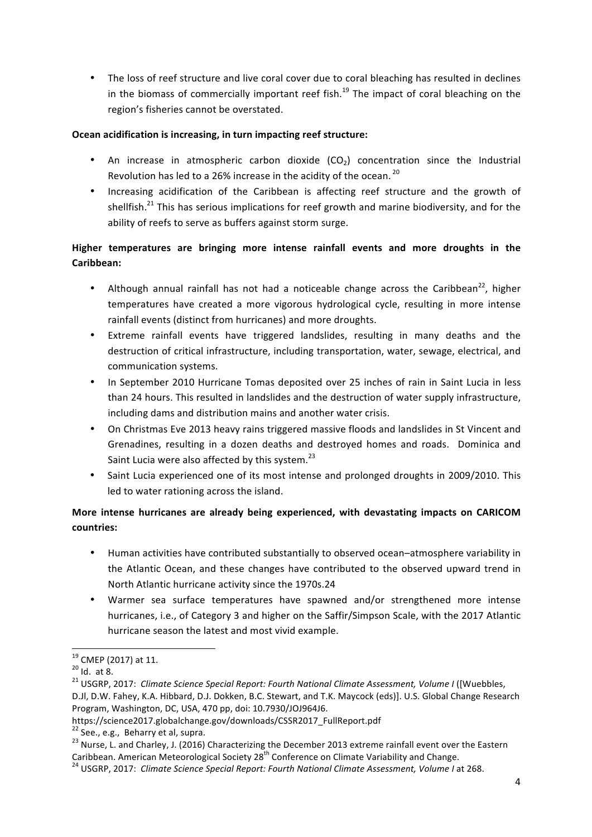• The loss of reef structure and live coral cover due to coral bleaching has resulted in declines in the biomass of commercially important reef fish.<sup>19</sup> The impact of coral bleaching on the region's fisheries cannot be overstated.

## **Ocean acidification is increasing, in turn impacting reef structure:**

- An increase in atmospheric carbon dioxide  $(CO<sub>2</sub>)$  concentration since the Industrial Revolution has led to a 26% increase in the acidity of the ocean.  $^{20}$
- Increasing acidification of the Caribbean is affecting reef structure and the growth of shellfish.<sup>21</sup> This has serious implications for reef growth and marine biodiversity, and for the ability of reefs to serve as buffers against storm surge.

# **Higher temperatures are bringing more intense rainfall events and more droughts in the** Caribbean:

- Although annual rainfall has not had a noticeable change across the Caribbean<sup>22</sup>, higher temperatures have created a more vigorous hydrological cycle, resulting in more intense rainfall events (distinct from hurricanes) and more droughts.
- Extreme rainfall events have triggered landslides, resulting in many deaths and the destruction of critical infrastructure, including transportation, water, sewage, electrical, and communication systems.
- In September 2010 Hurricane Tomas deposited over 25 inches of rain in Saint Lucia in less than 24 hours. This resulted in landslides and the destruction of water supply infrastructure, including dams and distribution mains and another water crisis.
- On Christmas Eve 2013 heavy rains triggered massive floods and landslides in St Vincent and Grenadines, resulting in a dozen deaths and destroyed homes and roads. Dominica and Saint Lucia were also affected by this system.<sup>23</sup>
- Saint Lucia experienced one of its most intense and prolonged droughts in 2009/2010. This led to water rationing across the island.

# **More intense hurricanes are already being experienced, with devastating impacts on CARICOM countries:**

- Human activities have contributed substantially to observed ocean-atmosphere variability in the Atlantic Ocean, and these changes have contributed to the observed upward trend in North Atlantic hurricane activity since the 1970s.24
- Warmer sea surface temperatures have spawned and/or strengthened more intense hurricanes, i.e., of Category 3 and higher on the Saffir/Simpson Scale, with the 2017 Atlantic hurricane season the latest and most vivid example.

<u> 1989 - Jan Samuel Barbara, margaret e</u>

<sup>&</sup>lt;sup>19</sup> CMEP (2017) at 11.<br><sup>20</sup> Id. at 8.<br><sup>21</sup> USGRP, 2017: *Climate Science Special Report: Fourth National Climate Assessment, Volume I* ([Wuebbles, D.Jl, D.W. Fahey, K.A. Hibbard, D.J. Dokken, B.C. Stewart, and T.K. Maycock (eds)]. U.S. Global Change Research

Program, Washington, DC, USA, 470 pp, doi: 10.7930/JOJ964J6.

https://science2017.globalchange.gov/downloads/CSSR2017\_FullReport.pdf

<sup>&</sup>lt;sup>22</sup> See., e.g., Beharry et al, supra.<br><sup>23</sup> Nurse. L. and Charley, J. (2016) Characterizing the December 2013 extreme rainfall event over the Eastern Caribbean. American Meteorological Society 28<sup>th</sup> Conference on Climate Variability and Change.<br><sup>24</sup> USGRP, 2017: *Climate Science Special Report: Fourth National Climate Assessment, Volume I* at 268.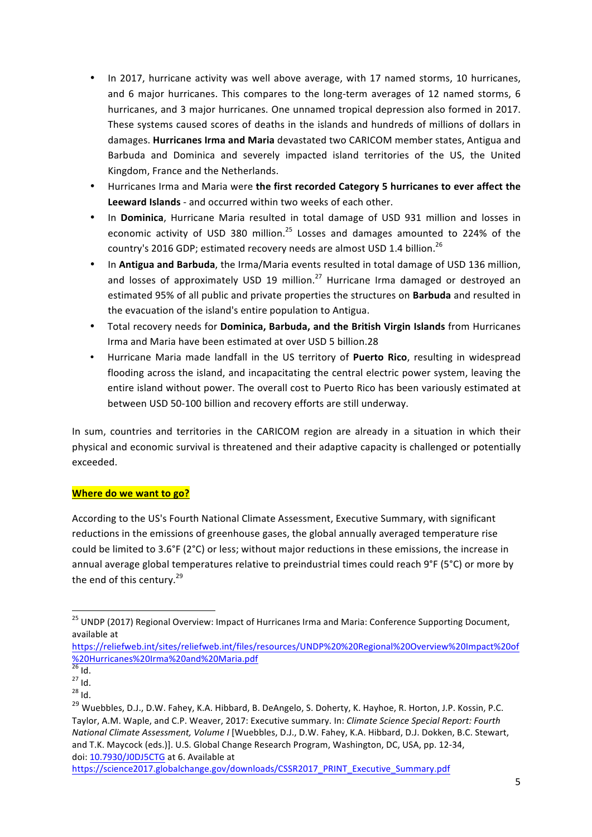- In 2017, hurricane activity was well above average, with 17 named storms, 10 hurricanes, and 6 major hurricanes. This compares to the long-term averages of 12 named storms, 6 hurricanes, and 3 major hurricanes. One unnamed tropical depression also formed in 2017. These systems caused scores of deaths in the islands and hundreds of millions of dollars in damages. Hurricanes Irma and Maria devastated two CARICOM member states, Antigua and Barbuda and Dominica and severely impacted island territories of the US, the United Kingdom, France and the Netherlands.
- Hurricanes Irma and Maria were the first recorded Category 5 hurricanes to ever affect the Leeward Islands - and occurred within two weeks of each other.
- In Dominica, Hurricane Maria resulted in total damage of USD 931 million and losses in economic activity of USD 380 million.<sup>25</sup> Losses and damages amounted to 224% of the country's 2016 GDP; estimated recovery needs are almost USD 1.4 billion.<sup>26</sup>
- In Antigua and Barbuda, the Irma/Maria events resulted in total damage of USD 136 million, and losses of approximately USD 19 million.<sup>27</sup> Hurricane Irma damaged or destroyed an estimated 95% of all public and private properties the structures on **Barbuda** and resulted in the evacuation of the island's entire population to Antigua.
- Total recovery needs for **Dominica, Barbuda, and the British Virgin Islands** from Hurricanes Irma and Maria have been estimated at over USD 5 billion.28
- Hurricane Maria made landfall in the US territory of Puerto Rico, resulting in widespread flooding across the island, and incapacitating the central electric power system, leaving the entire island without power. The overall cost to Puerto Rico has been variously estimated at between USD 50-100 billion and recovery efforts are still underway.

In sum, countries and territories in the CARICOM region are already in a situation in which their physical and economic survival is threatened and their adaptive capacity is challenged or potentially exceeded. 

## **Where do we want to go?**

<u> 1989 - Jan Samuel Barbara, margaret e</u>

According to the US's Fourth National Climate Assessment, Executive Summary, with significant reductions in the emissions of greenhouse gases, the global annually averaged temperature rise could be limited to 3.6°F (2°C) or less; without major reductions in these emissions, the increase in annual average global temperatures relative to preindustrial times could reach 9°F (5°C) or more by the end of this century.<sup>29</sup>

<sup>&</sup>lt;sup>25</sup> UNDP (2017) Regional Overview: Impact of Hurricanes Irma and Maria: Conference Supporting Document, available at

https://reliefweb.int/sites/reliefweb.int/files/resources/UNDP%20%20Regional%20Overview%20Impact%20of %20Hurricanes%20Irma%20and%20Maria.pdf<br><sup>26</sup> Id

 $\frac{27}{28}$  Id.

<sup>&</sup>lt;sup>29</sup> Wuebbles, D.J., D.W. Fahey, K.A. Hibbard, B. DeAngelo, S. Doherty, K. Hayhoe, R. Horton, J.P. Kossin, P.C. Taylor, A.M. Waple, and C.P. Weaver, 2017: Executive summary. In: *Climate Science Special Report: Fourth National Climate Assessment, Volume I* [Wuebbles, D.J., D.W. Fahey, K.A. Hibbard, D.J. Dokken, B.C. Stewart, and T.K. Maycock (eds.)]. U.S. Global Change Research Program, Washington, DC, USA, pp. 12-34, doi: 10.7930/J0DJ5CTG at 6. Available at

https://science2017.globalchange.gov/downloads/CSSR2017\_PRINT\_Executive\_Summary.pdf